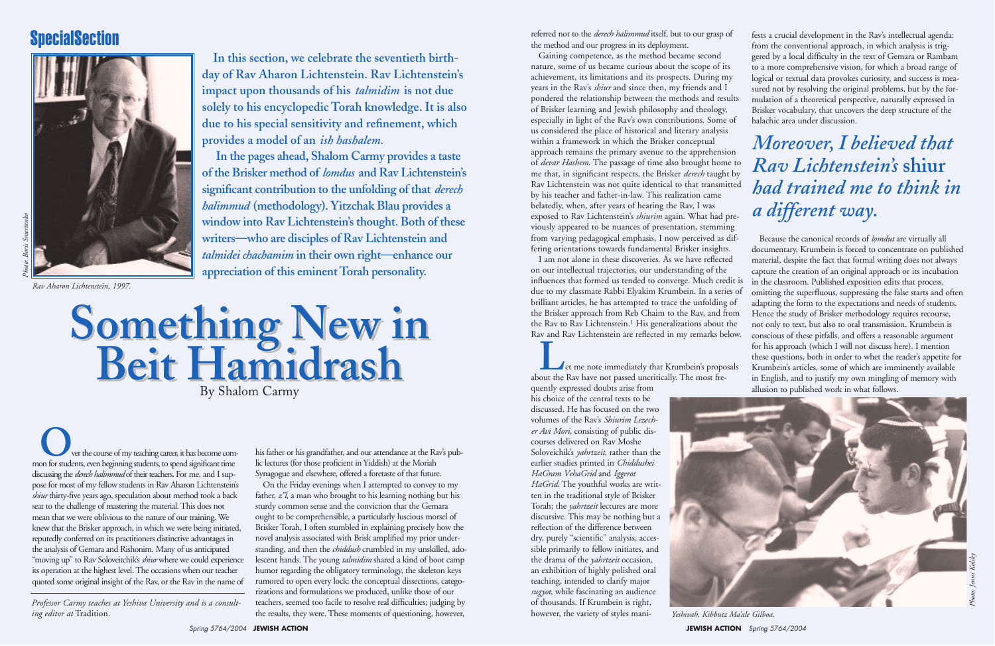*Professor Carmy teaches at Yeshiva University and is a consulting editor at* Tradition*.* 

**Something New in Beit Hamidrash Something New in Beit Hamidrash** By Shalom Carmy

**In this section, we celebrate the seventieth birthday of Rav Aharon Lichtenstein. Rav Lichtenstein's impact upon thousands of his** *talmidim* **is not due solely to his encyclopedic Torah knowledge. It is also due to his special sensitivity and refinement, which provides a model of an** *ish hashalem.*

**In the pages ahead, Shalom Carmy provides a taste of the Brisker method of** *lomdus* **and Rav Lichtenstein's significant contribution to the unfolding of that** *derech halimmud* **(methodology). Yitzchak Blau provides a window into Rav Lichtenstein's thought. Both of these writers—who are disciples of Rav Lichtenstein and** *talmidei chachamim* **in their own right—enhance our appreciation of this eminent Torah personality.**

*Rav Aharon Lichtenstein, 1997.* 

### **SpecialSection**



**O**ver the course of my teaching career, it has become com-<br>mon for students, even beginning students, to spend significant time discussing the *derech halimmud* of their teachers. For me, and I suppose for most of my fellow students in Rav Aharon Lichtenstein's *shiur* thirty-five years ago, speculation about method took a back seat to the challenge of mastering the material. This does not mean that we were oblivious to the nature of our training. We knew that the Brisker approach, in which we were being initiated, reputedly conferred on its practitioners distinctive advantages in the analysis of Gemara and Rishonim. Many of us anticipated "moving up" to Rav Soloveitchik's *shiur* where we could experience its operation at the highest level. The occasions when our teacher quoted some original insight of the Rav, or the Rav in the name of rumored to open every lock: the conceptual dissections, catego-

his father or his grandfather, and our attendance at the Rav's public lectures (for those proficient in Yiddish) at the Moriah Synagogue and elsewhere, offered a foretaste of that future.

**Let me note immediately that Krumbein's proposals** about the Rav have not passed uncritically. The most fre-

On the Friday evenings when I attempted to convey to my father, *z"l*, a man who brought to his learning nothing but his sturdy common sense and the conviction that the Gemara ought to be comprehensible, a particularly luscious morsel of Brisker Torah, I often stumbled in explaining precisely how the novel analysis associated with Brisk amplified my prior understanding, and then the *chiddush* crumbled in my unskilled, adolescent hands. The young *talmidim* shared a kind of boot camp humor regarding the obligatory terminology, the skeleton keys rizations and formulations we produced, unlike those of our teachers, seemed too facile to resolve real difficulties; judging by the results, they were. These moments of questioning, however,



**JEWISH ACTION** Spring 5764/2004

referred not to the *derech halimmud* itself, but to our grasp of the method and our progress in its deployment.

Gaining competence, as the method became second nature, some of us became curious about the scope of its achievement, its limitations and its prospects. During my years in the Rav's *shiur* and since then, my friends and I pondered the relationship between the methods and results of Brisker learning and Jewish philosophy and theology, especially in light of the Rav's own contributions. Some of us considered the place of historical and literary analysis within a framework in which the Brisker conceptual approach remains the primary avenue to the apprehension of *devar Hashem*. The passage of time also brought home to me that, in significant respects, the Brisker *derech* taught by Rav Lichtenstein was not quite identical to that transmitted by his teacher and father-in-law. This realization came belatedly, when, after years of hearing the Rav, I was exposed to Rav Lichtenstein's *shiurim* again. What had previously appeared to be nuances of presentation, stemming from varying pedagogical emphasis, I now perceived as differing orientations towards fundamental Brisker insights.

I am not alone in these discoveries. As we have reflected on our intellectual trajectories, our understanding of the influences that formed us tended to converge. Much credit is due to my classmate Rabbi Elyakim Krumbein. In a series of brilliant articles, he has attempted to trace the unfolding of the Brisker approach from Reb Chaim to the Rav, and from the Rav to Rav Lichtenstein.<sup>1</sup> His generalizations about the Rav and Rav Lichtenstein are reflected in my remarks below.

quently expressed doubts arise from his choice of the central texts to be discussed. He has focused on the two volumes of the Rav's *Shiurim Lezecher Avi Mori*, consisting of public discourses delivered on Rav Moshe Soloveichik's *yahrtzeit*, rather than the earlier studies printed in *Chiddushei HaGram VehaGrid* and *Iggerot HaGrid*. The youthful works are written in the traditional style of Brisker Torah; the *yahrtzeit* lectures are more discursive. This may be nothing but a reflection of the difference between dry, purely "scientific" analysis, accessible primarily to fellow initiates, and the drama of the *yahrtzeit* occasion, an exhibition of highly polished oral teaching, intended to clarify major *sugyot*, while fascinating an audience of thousands. If Krumbein is right, however, the variety of styles mani- *Yeshivah, Kibbutz Ma'ale Gilboa.*

fests a crucial development in the Rav's intellectual agenda: from the conventional approach, in which analysis is triggered by a local difficulty in the text of Gemara or Rambam to a more comprehensive vision, for which a broad range of logical or textual data provokes curiosity, and success is measured not by resolving the original problems, but by the formulation of a theoretical perspective, naturally expressed in Brisker vocabulary, that uncovers the deep structure of the halachic area under discussion.

Because the canonical records of *lomdut* are virtually all documentary, Krumbein is forced to concentrate on published material, despite the fact that formal writing does not always capture the creation of an original approach or its incubation in the classroom. Published exposition edits that process, omitting the superfluous, suppressing the false starts and often adapting the form to the expectations and needs of students. Hence the study of Brisker methodology requires recourse, not only to text, but also to oral transmission. Krumbein is conscious of these pitfalls, and offers a reasonable argument for his approach (which I will not discuss here). I mention these questions, both in order to whet the reader's appetite for Krumbein's articles, some of which are imminently available in English, and to justify my own mingling of memory with allusion to published work in what follows.

## *Moreover, I believed that Rav Lichtenstein's* **shiur** *had trained me to think in a different way.*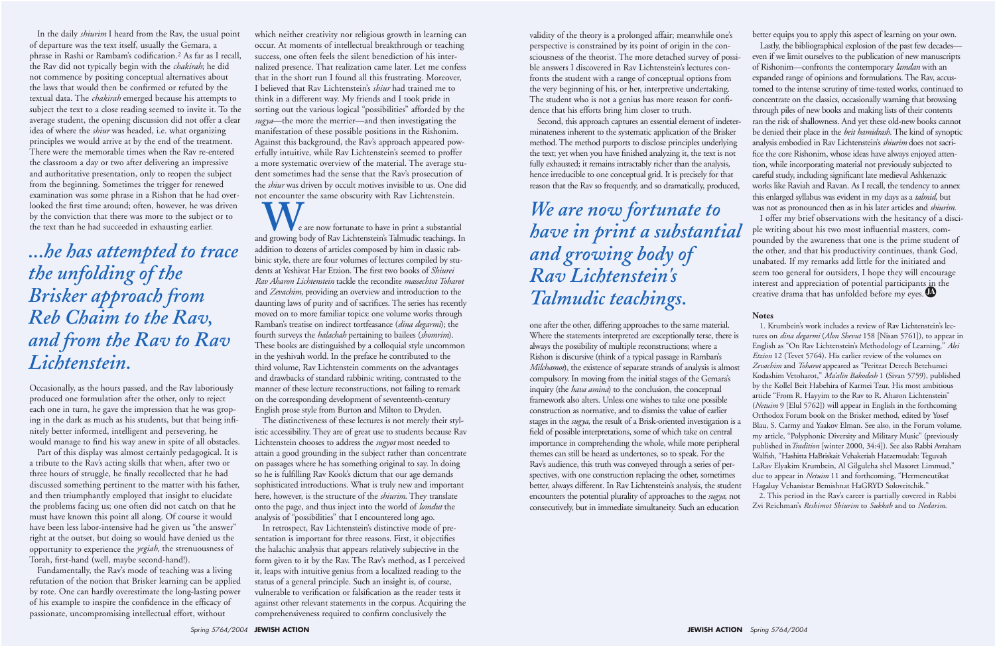In the daily *shiurim* I heard from the Rav, the usual point of departure was the text itself, usually the Gemara, a phrase in Rashi or Rambam's codification.2 As far as I recall, the Rav did not typically begin with the *chakirah*; he did not commence by positing conceptual alternatives about the laws that would then be confirmed or refuted by the textual data. The *chakirah* emerged because his attempts to subject the text to a close reading seemed to invite it. To the average student, the opening discussion did not offer a clear idea of where the *shiur* was headed, i.e. what organizing principles we would arrive at by the end of the treatment. There were the memorable times when the Rav re-entered the classroom a day or two after delivering an impressive and authoritative presentation, only to reopen the subject from the beginning. Sometimes the trigger for renewed examination was some phrase in a Rishon that he had overlooked the first time around; often, however, he was driven by the conviction that there was more to the subject or to the text than he had succeeded in exhausting earlier.

Occasionally, as the hours passed, and the Rav laboriously produced one formulation after the other, only to reject each one in turn, he gave the impression that he was groping in the dark as much as his students, but that being infinitely better informed, intelligent and persevering, he would manage to find his way anew in spite of all obstacles.

Part of this display was almost certainly pedagogical. It is a tribute to the Rav's acting skills that when, after two or three hours of struggle, he finally recollected that he had discussed something pertinent to the matter with his father, and then triumphantly employed that insight to elucidate the problems facing us; one often did not catch on that he must have known this point all along. Of course it would have been less labor-intensive had he given us "the answer" right at the outset, but doing so would have denied us the opportunity to experience the *yegiah,* the strenuousness of Torah, first-hand (well, maybe second-hand!).

**W**e are now fortunate to have in print a substantial and growing body of Rav Lichtenstein's Talmudic teachings. In addition to dozens of articles composed by him in classic rabbinic style, there are four volumes of lectures compiled by students at Yeshivat Har Etzion. The first two books of *Shiurei Rav Aharon Lichtenstein* tackle the recondite *massechtot Toharot* and *Zevachim*, providing an overview and introduction to the daunting laws of purity and of sacrifices. The series has recently moved on to more familiar topics: one volume works through Ramban's treatise on indirect tortfeasance (*dina degarmi*); the fourth surveys the *halachah* pertaining to bailees (*shomrim*). These books are distinguished by a colloquial style uncommon in the yeshivah world. In the preface he contributed to the third volume, Rav Lichtenstein comments on the advantages and drawbacks of standard rabbinic writing, contrasted to the manner of these lecture reconstructions, not failing to remark on the corresponding development of seventeenth-century English prose style from Burton and Milton to Dryden.

Fundamentally, the Rav's mode of teaching was a living refutation of the notion that Brisker learning can be applied by rote. One can hardly overestimate the long-lasting power of his example to inspire the confidence in the efficacy of passionate, uncompromising intellectual effort, without

which neither creativity nor religious growth in learning can occur. At moments of intellectual breakthrough or teaching success, one often feels the silent benediction of his internalized presence. That realization came later. Let me confess that in the short run I found all this frustrating. Moreover, I believed that Rav Lichtenstein's *shiur* had trained me to think in a different way. My friends and I took pride in sorting out the various logical "possibilities" afforded by the *sugya*—the more the merrier—and then investigating the manifestation of these possible positions in the Rishonim. Against this background, the Rav's approach appeared powerfully intuitive, while Rav Lichtenstein's seemed to proffer a more systematic overview of the material. The average student sometimes had the sense that the Rav's prosecution of the *shiur* was driven by occult motives invisible to us. One did not encounter the same obscurity with Rav Lichtenstein.

The distinctiveness of these lectures is not merely their stylistic accessibility. They are of great use to students because Rav Lichtenstein chooses to address the *sugyot* most needed to attain a good grounding in the subject rather than concentrate on passages where he has something original to say. In doing so he is fulfilling Rav Kook's dictum that our age demands sophisticated introductions. What is truly new and important here, however, is the structure of the *shiurim*. They translate onto the page, and thus inject into the world of *lomdut* the analysis of "possibilities" that I encountered long ago.

In retrospect, Rav Lichtenstein's distinctive mode of presentation is important for three reasons. First, it objectifies the halachic analysis that appears relatively subjective in the form given to it by the Rav. The Rav's method, as I perceived it, leaps with intuitive genius from a localized reading to the status of a general principle. Such an insight is, of course, vulnerable to verification or falsification as the reader tests it against other relevant statements in the corpus. Acquiring the comprehensiveness required to confirm conclusively the

validity of the theory is a prolonged affair; meanwhile one's perspective is constrained by its point of origin in the consciousness of the theorist. The more detached survey of possible answers I discovered in Rav Lichtenstein's lectures confronts the student with a range of conceptual options from the very beginning of his, or her, interpretive undertaking. The student who is not a genius has more reason for confidence that his efforts bring him closer to truth.

Second, this approach captures an essential element of indeterminateness inherent to the systematic application of the Brisker method. The method purports to disclose principles underlying the text; yet when you have finished analyzing it, the text is not fully exhausted; it remains intractably richer than the analysis, hence irreducible to one conceptual grid. It is precisely for that reason that the Rav so frequently, and so dramatically, produced,

better equips you to apply this aspect of learning on your own.

Lastly, the bibliographical explosion of the past few decades even if we limit ourselves to the publication of new manuscripts of Rishonim—confronts the contemporary *lamdan* with an expanded range of opinions and formulations. The Rav, accustomed to the intense scrutiny of time-tested works, continued to concentrate on the classics, occasionally warning that browsing through piles of new books and making lists of their contents ran the risk of shallowness. And yet these old-new books cannot be denied their place in the *beit hamidrash*. The kind of synoptic analysis embodied in Rav Lichtenstein's *shiurim* does not sacrifice the core Rishonim, whose ideas have always enjoyed attention, while incorporating material not previously subjected to careful study, including significant late medieval Ashkenazic works like Raviah and Ravan. As I recall, the tendency to annex this enlarged syllabus was evident in my days as a *talmid*, but

one after the other, differing approaches to the same material. Where the statements interpreted are exceptionally terse, there is always the possibility of multiple reconstructions; where a Rishon is discursive (think of a typical passage in Ramban's *Milchamot*), the existence of separate strands of analysis is almost compulsory. In moving from the initial stages of the Gemara's inquiry (the *hava amina*) to the conclusion, the conceptual framework also alters. Unless one wishes to take one possible construction as normative, and to dismiss the value of earlier stages in the *sugya*, the result of a Brisk-oriented investigation is a field of possible interpretations, some of which take on central importance in comprehending the whole, while more peripheral themes can still be heard as undertones, so to speak. For the Rav's audience, this truth was conveyed through a series of perspectives, with one construction replacing the other, sometimes better, always different. In Rav Lichtenstein's analysis, the student encounters the potential plurality of approaches to the *sugya*, not consecutively, but in immediate simultaneity. Such an education 1. Krumbein's work includes a review of Rav Lichtenstein's lectures on *dina degarmi* (*Alon Shevut* 158 [Nisan 5761]), to appear in English as "On Rav Lichtenstein's Methodology of Learning," *Alei Etzion* 12 (Tevet 5764). His earlier review of the volumes on *Zevachim* and *Toharot* appeared as "Peritzat Derech Betehumei Kodashim Vetoharot," *Ma'alin Bakodesh* 1 (Sivan 5759), published by the Kollel Beit Habehira of Karmei Tzur. His most ambitious article "From R. Hayyim to the Rav to R. Aharon Lichtenstein" (*Netuim* 9 [Elul 5762]) will appear in English in the forthcoming Orthodox Forum book on the Brisker method, edited by Yosef Blau, S. Carmy and Yaakov Elman. See also, in the Forum volume, my article, "Polyphonic Diversity and Military Music" (previously published in*Tradition* [winter 2000, 34:4]). See also Rabbi Avraham Walfish, "Hashitta HaBriskait Vehakeriah Hatzemudah: Teguvah LaRav Elyakim Krumbein, Al Gilguleha shel Masoret Limmud," due to appear in *Netuim* 11 and forthcoming, "Hermeneutikat Hagaluy Vehanistar Bemishnat HaGRYD Soloveitchik." 2. This period in the Rav's career is partially covered in Rabbi Zvi Reichman's *Reshimot Shiurim* to *Sukkah* and to *Nedarim*.

### **Notes**

was not as pronounced then as in his later articles and *shiurim.*  I offer my brief observations with the hesitancy of a disciple writing about his two most influential masters, compounded by the awareness that one is the prime student of the other, and that his productivity continues, thank God, unabated. If my remarks add little for the initiated and seem too general for outsiders, I hope they will encourage interest and appreciation of potential participants in the creative drama that has unfolded before my eyes. **JA** *We are now fortunate to have in print a substantial and growing body of Rav Lichtenstein's Talmudic teachings.*

*...he has attempted to trace the unfolding of the Brisker approach from Reb Chaim to the Rav, and from the Rav to Rav Lichtenstein.*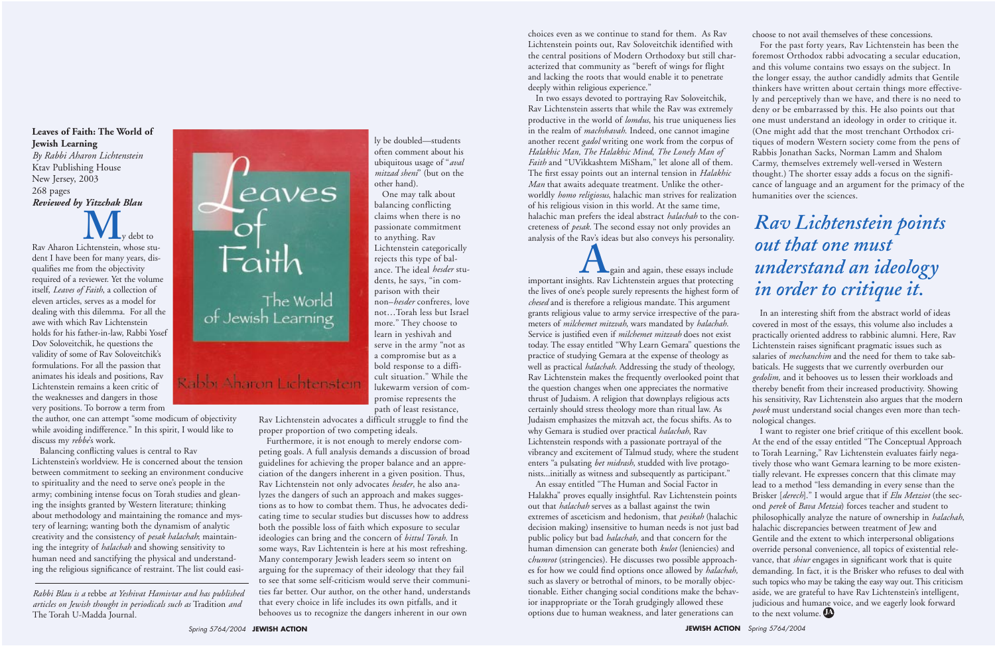*Rabbi Blau is a* rebbe *at Yeshivat Hamivtar and has published articles on Jewish thought in periodicals such as* Tradition *and* The Torah U-Madda Journal*.* 



**Leaves of Faith: The World of Jewish Learning** *By Rabbi Aharon Lichtenstein*

Ktav Publishing House New Jersey, 2003 268 pages *Reviewed by Yitzchak Blau*

Rav Aharon Lichtenstein, whose student I have been for many years, disqualifies me from the objectivity required of a reviewer. Yet the volume itself, *Leaves of Faith*, a collection of eleven articles, serves as a model for dealing with this dilemma. For all the awe with which Rav Lichtenstein holds for his father-in-law, Rabbi Yosef Dov Soloveitchik, he questions the validity of some of Rav Soloveitchik's formulations. For all the passion that animates his ideals and positions, Rav Lichtenstein remains a keen critic of the weaknesses and dangers in those very positions. To borrow a term from

the author, one can attempt "some modicum of objectivity while avoiding indifference." In this spirit, I would like to discuss my *rebbe*'s work.

Balancing conflicting values is central to Rav Lichtenstein's worldview. He is concerned about the tension between commitment to seeking an environment conducive to spirituality and the need to serve one's people in the army; combining intense focus on Torah studies and gleaning the insights granted by Western literature; thinking about methodology and maintaining the romance and mystery of learning; wanting both the dynamism of analytic creativity and the consistency of *pesak halachah*; maintaining the integrity of *halachah* and showing sensitivity to human need and sanctifying the physical and understanding the religious significance of restraint. The list could easily be doubled—students often comment about his ubiquitous usage of "*aval mitzad sheni*" (but on the other hand).

One may talk about balancing conflicting claims when there is no passionate commitment to anything. Rav Lichtenstein categorically rejects this type of balance. The ideal *hesder* students, he says, "in comparison with their non–*hesder* confreres, love not…Torah less but Israel more." They choose to learn in yeshivah and serve in the army "not as a compromise but as a bold response to a difficult situation." While the lukewarm version of compromise represents the path of least resistance,

Rav Lichtenstein advocates a difficult struggle to find the proper proportion of two competing ideals.

**A**gain and again, these essays include important insights. Rav Lichtenstein argues that protecting the lives of one's people surely represents the highest form of *chesed* and is therefore a religious mandate. This argument grants religious value to army service irrespective of the parameters of *milchemet mitzvah*, wars mandated by *halachah.* Service is justified even if *milchemet mitzvah* does not exist today. The essay entitled "Why Learn Gemara" questions the practice of studying Gemara at the expense of theology as well as practical *halachah*. Addressing the study of theology, Rav Lichtenstein makes the frequently overlooked point that the question changes when one appreciates the normative thrust of Judaism. A religion that downplays religious acts certainly should stress theology more than ritual law. As Judaism emphasizes the mitzvah act, the focus shifts. As to why Gemara is studied over practical *halachah*, Rav Lichtenstein responds with a passionate portrayal of the vibrancy and excitement of Talmud study, where the student enters "a pulsating *bet midrash*, studded with live protagonists...initially as witness and subsequently as participant."

Furthermore, it is not enough to merely endorse competing goals. A full analysis demands a discussion of broad guidelines for achieving the proper balance and an appreciation of the dangers inherent in a given position. Thus, Rav Lichtenstein not only advocates *hesder*, he also analyzes the dangers of such an approach and makes suggestions as to how to combat them. Thus, he advocates dedicating time to secular studies but discusses how to address both the possible loss of faith which exposure to secular ideologies can bring and the concern of *bittul Torah*. In some ways, Rav Lichtentein is here at his most refreshing. Many contemporary Jewish leaders seem so intent on arguing for the supremacy of their ideology that they fail to see that some self-criticism would serve their communities far better. Our author, on the other hand, understands that every choice in life includes its own pitfalls, and it behooves us to recognize the dangers inherent in our own

choices even as we continue to stand for them. As Rav Lichtenstein points out, Rav Soloveitchik identified with the central positions of Modern Orthodoxy but still characterized that community as "bereft of wings for flight and lacking the roots that would enable it to penetrate deeply within religious experience."

> I want to register one brief critique of this excellent book. At the end of the essay entitled "The Conceptual Approach to Torah Learning," Rav Lichtenstein evaluates fairly negatively those who want Gemara learning to be more existentially relevant. He expresses concern that this climate may lead to a method "less demanding in every sense than the Brisker [*derech*]." I would argue that if *Elu Metziot* (the second *perek* of *Bava Metzia*) forces teacher and student to philosophically analyze the nature of ownership in *halachah*, halachic discrepancies between treatment of Jew and Gentile and the extent to which interpersonal obligations override personal convenience, all topics of existential relevance, that *shiur* engages in significant work that is quite demanding. In fact, it is the Brisker who refuses to deal with such topics who may be taking the easy way out. This criticism aside, we are grateful to have Rav Lichtenstein's intelligent, judicious and humane voice, and we eagerly look forward to the next volume.

In two essays devoted to portraying Rav Soloveitchik, Rav Lichtenstein asserts that while the Rav was extremely productive in the world of *lomdus*, his true uniqueness lies in the realm of *machshavah*. Indeed, one cannot imagine another recent *gadol* writing one work from the corpus of *Halakhic Man, The Halakhic Mind*, *The Lonely Man of Faith* and "UVikkashtem MiSham," let alone all of them. The first essay points out an internal tension in *Halakhic Man* that awaits adequate treatment. Unlike the otherworldly *homo religiosus*, halachic man strives for realization of his religious vision in this world. At the same time, halachic man prefers the ideal abstract *halachah* to the concreteness of *pesak*. The second essay not only provides an analysis of the Rav's ideas but also conveys his personality.

An essay entitled "The Human and Social Factor in Halakha" proves equally insightful. Rav Lichtenstein points out that *halachah* serves as a ballast against the twin extremes of asceticism and hedonism, that *pesikah* (halachic decision making) insensitive to human needs is not just bad public policy but bad *halachah,* and that concern for the human dimension can generate both *kulot* (leniencies) and c*humrot* (stringencies). He discusses two possible approaches for how we could find options once allowed by *halachah,* such as slavery or betrothal of minors, to be morally objectionable. Either changing social conditions make the behavior inappropriate or the Torah grudgingly allowed these options due to human weakness, and later generations can

choose to not avail themselves of these concessions.

For the past forty years, Rav Lichtenstein has been the foremost Orthodox rabbi advocating a secular education, and this volume contains two essays on the subject. In the longer essay, the author candidly admits that Gentile thinkers have written about certain things more effectively and perceptively than we have, and there is no need to deny or be embarrassed by this. He also points out that one must understand an ideology in order to critique it. (One might add that the most trenchant Orthodox critiques of modern Western society come from the pens of Rabbis Jonathan Sacks, Norman Lamm and Shalom Carmy, themselves extremely well-versed in Western thought.) The shorter essay adds a focus on the significance of language and an argument for the primacy of the humanities over the sciences.

In an interesting shift from the abstract world of ideas covered in most of the essays, this volume also includes a practically oriented address to rabbinic alumni. Here, Rav Lichtenstein raises significant pragmatic issues such as salaries of *mechanchim* and the need for them to take sabbaticals. He suggests that we currently overburden our *gedolim,* and it behooves us to lessen their workloads and thereby benefit from their increased productivity. Showing his sensitivity, Rav Lichtenstein also argues that the modern *posek* must understand social changes even more than technological changes.

*Rav Lichtenstein points out that one must understand an ideology in order to critique it.*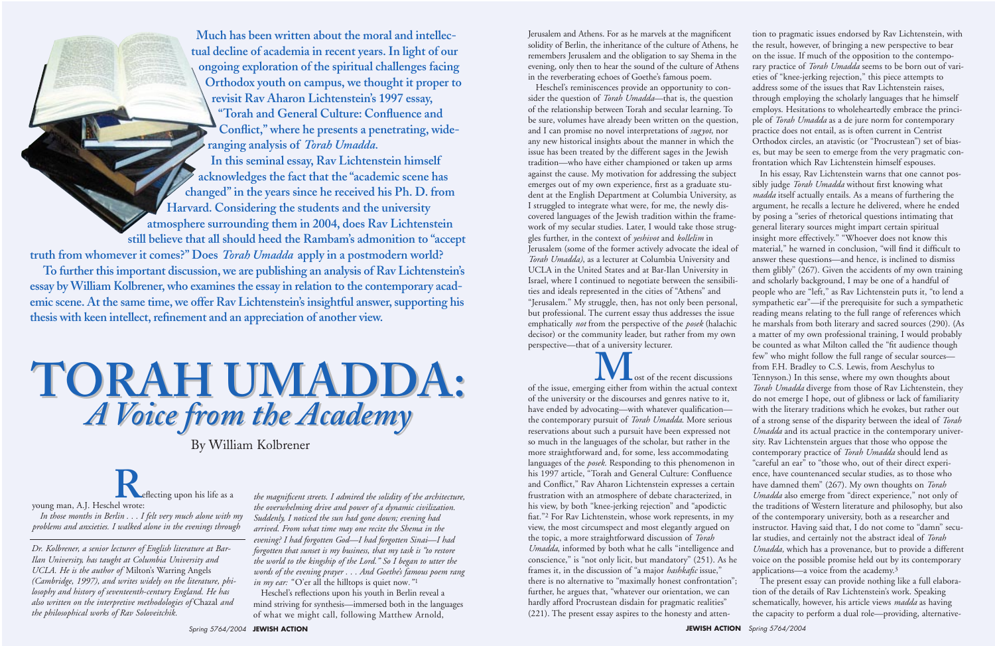*Dr. Kolbrener, a senior lecturer of English literature at Bar-Ilan University, has taught at Columbia University and UCLA. He is the author of* Milton's Warring Angels *(Cambridge, 1997), and writes widely on the literature, philosophy and history of seventeenth-century England. He has also written on the interpretive methodologies of* Chazal *and the philosophical works of Rav Soloveitchik.*

# **TORAH UMADDA: TORAH UMADDA:** *A Voice from the Academy A Voice from the Academy*

By William Kolbrener

**To further this important discussion,we are publishing an analysis of Rav Lichtenstein's essay by William Kolbrener, who examines the essay in relation to the contemporary academic scene.** At the same time, we offer Rav Lichtenstein's insightful answer, supporting his thesis with keen intellect, refinement and an appreciation of another view.

**Much has been written about the moral and intellectual decline of academia in recent years.In light of our ongoing exploration of the spiritual challenges facing Orthodox youth on campus, we thought it proper to revisit Rav Aharon Lichtenstein's 1997 essay, "Torah and General Culture: Confluence and Conflict," where he presents a penetrating, wideranging analysis of** *Torah Umadda.* **In this seminal essay, Rav Lichtenstein himself**

> *the magnificent streets. I admired the solidity of the architecture, the overwhelming drive and power of a dynamic civilization. Suddenly, I noticed the sun had gone down; evening had arrived. From what time may one recite the Shema in the evening? I had forgotten God—I had forgotten Sinai—I had forgotten that sunset is my business, that my task is "to restore the world to the kingship of the Lord." So I began to utter the words of the evening prayer . . . And Goethe's famous poem rang in my ear:* "O'er all the hilltops is quiet now."<sup>1</sup>

**acknowledges the fact that the "academic scene has changed"in the years since he received his Ph. D. from Harvard. Considering the students and the university atmosphere surrounding them in 2004, does Rav Lichtenstein**

**still believe that all should heed the Rambam's admonition to "accept truth from whomever it comes?" Does** *Torah Umadda* **apply in a postmodern world?**

> Heschel's reflections upon his youth in Berlin reveal a mind striving for synthesis—immersed both in the languages of what we might call, following Matthew Arnold,

**R**eflecting upon his life as a

young man, A.J. Heschel wrote:

*In those months in Berlin . . . I felt very much alone with my problems and anxieties. I walked alone in the evenings through*

Jerusalem and Athens. For as he marvels at the magnificent solidity of Berlin, the inheritance of the culture of Athens, he remembers Jerusalem and the obligation to say Shema in the evening, only then to hear the sound of the culture of Athens in the reverberating echoes of Goethe's famous poem.

of the issue, emerging either from within the actual context of the university or the discourses and genres native to it, have ended by advocating—with whatever qualification the contemporary pursuit of *Torah Umadda*. More serious reservations about such a pursuit have been expressed not so much in the languages of the scholar, but rather in the more straightforward and, for some, less accommodating languages of the *posek*. Responding to this phenomenon in his 1997 article, "Torah and General Culture: Confluence and Conflict," Rav Aharon Lichtenstein expresses a certain frustration with an atmosphere of debate characterized, in his view, by both "knee-jerking rejection" and "apodictic fiat."2 For Rav Lichtenstein, whose work represents, in my view, the most circumspect and most elegantly argued on the topic, a more straightforward discussion of *Torah Umadda*, informed by both what he calls "intelligence and conscience," is "not only licit, but mandatory" (251). As he frames it, in the discussion of "a major *hashkafic* issue," there is no alternative to "maximally honest confrontation"; further, he argues that, "whatever our orientation, we can hardly afford Procrustean disdain for pragmatic realities" (221). The present essay aspires to the honesty and atten-

Heschel's reminiscences provide an opportunity to consider the question of *Torah Umadda*—that is, the question of the relationship between Torah and secular learning. To be sure, volumes have already been written on the question, and I can promise no novel interpretations of *sugyot*, nor any new historical insights about the manner in which the issue has been treated by the different sages in the Jewish tradition—who have either championed or taken up arms against the cause. My motivation for addressing the subject emerges out of my own experience, first as a graduate student at the English Department at Columbia University, as I struggled to integrate what were, for me, the newly discovered languages of the Jewish tradition within the framework of my secular studies. Later, I would take those struggles further, in the context of *yeshivot* and *kollelim* in Jerusalem (some of the former actively advocate the ideal of *Torah Umadda)*, as a lecturer at Columbia University and UCLA in the United States and at Bar-Ilan University in Israel, where I continued to negotiate between the sensibilities and ideals represented in the cities of "Athens" and "Jerusalem." My struggle, then, has not only been personal, but professional. The current essay thus addresses the issue emphatically *not* from the perspective of the *posek* (halachic decisor) or the community leader, but rather from my own perspective—that of a university lecturer.

tion to pragmatic issues endorsed by Rav Lichtenstein, with the result, however, of bringing a new perspective to bear on the issue. If much of the opposition to the contemporary practice of *Torah Umadda* seems to be born out of varieties of "knee-jerking rejection," this piece attempts to address some of the issues that Rav Lichtenstein raises, through employing the scholarly languages that he himself employs. Hesitations to wholeheartedly embrace the principle of *Torah Umadda* as a de jure norm for contemporary practice does not entail, as is often current in Centrist Orthodox circles, an atavistic (or "Procrustean") set of biases, but may be seen to emerge from the very pragmatic confrontation which Rav Lichtenstein himself espouses.

In his essay, Rav Lichtenstein warns that one cannot possibly judge *Torah Umadda* without first knowing what *madda* itself actually entails. As a means of furthering the argument, he recalls a lecture he delivered, where he ended by posing a "series of rhetorical questions intimating that general literary sources might impart certain spiritual insight more effectively." "Whoever does not know this material," he warned in conclusion, "will find it difficult to answer these questions—and hence, is inclined to dismiss them glibly" (267). Given the accidents of my own training and scholarly background, I may be one of a handful of people who are "left," as Rav Lichtenstein puts it, "to lend a sympathetic ear"—if the prerequisite for such a sympathetic reading means relating to the full range of references which he marshals from both literary and sacred sources (290). (As a matter of my own professional training, I would probably be counted as what Milton called the "fit audience though few" who might follow the full range of secular sources from F.H. Bradley to C.S. Lewis, from Aeschylus to Tennyson.) In this sense, where my own thoughts about *Torah Umadda* diverge from those of Rav Lichtenstein, they do not emerge I hope, out of glibness or lack of familiarity with the literary traditions which he evokes, but rather out of a strong sense of the disparity between the ideal of *Torah Umadda* and its actual practice in the contemporary university. Rav Lichtenstein argues that those who oppose the contemporary practice of *Torah Umadda* should lend as "careful an ear" to "those who, out of their direct experience, have countenanced secular studies, as to those who have damned them" (267). My own thoughts on *Torah Umadda* also emerge from "direct experience," not only of the traditions of Western literature and philosophy, but also of the contemporary university, both as a researcher and instructor. Having said that, I do not come to "damn" secular studies, and certainly not the abstract ideal of *Torah Umadda,* which has a provenance, but to provide a different voice on the possible promise held out by its contemporary applications—a voice from the academy.3

The present essay can provide nothing like a full elaboration of the details of Rav Lichtenstein's work. Speaking schematically, however, his article views *madda* as having the capacity to perform a dual role—providing, alternative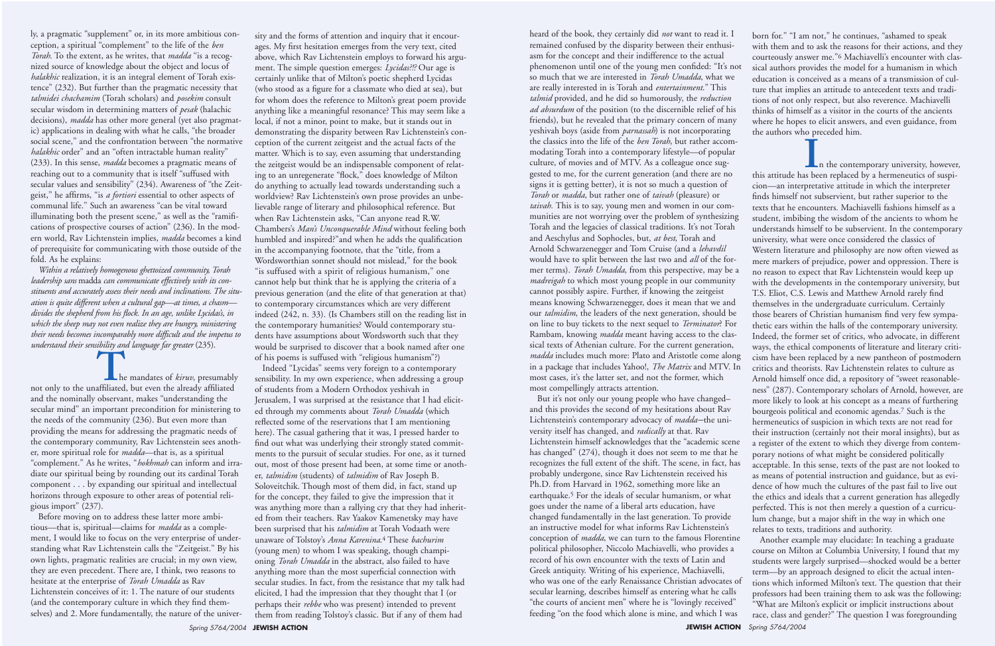ly, a pragmatic "supplement" or, in its more ambitious conception, a spiritual "complement" to the life of the *ben Torah*. To the extent, as he writes, that *madda* "is a recognized source of knowledge about the object and locus of *halakhic* realization, it is an integral element of Torah existence" (232). But further than the pragmatic necessity that *talmidei chachamim* (Torah scholars) and *posekim* consult secular wisdom in determining matters of *pesak* (halachic decisions), *madda* has other more general (yet also pragmatic) applications in dealing with what he calls, "the broader social scene," and the confrontation between "the normative *halakhic* order" and an "often intractable human reality" (233). In this sense, *madda* becomes a pragmatic means of reaching out to a community that is itself "suffused with secular values and sensibility" (234). Awareness of "the Zeitgeist," he affirms, "is *a fortiori* essential to other aspects of communal life." Such an awareness "can be vital toward illuminating both the present scene," as well as the "ramifications of prospective courses of action" (236). In the modern world, Rav Lichtenstein implies, *madda* becomes a kind of prerequisite for communicating with those outside of the fold. As he explains:

*Within a relatively homogenous ghettoized community, Torah leadership sans* madda *can communicate effectively with its constituents and accurately assess their needs and inclinations. The situation is quite different when a cultural gap—at times, a chasm divides the shepherd from his flock. In an age, unlike Lycidas's, in which the sheep may not even realize they are hungry, ministering their needs becomes incomparably more difficult and the impetus to understand their sensibility and language far greater* (235).

**T**he mandates of *kiruv*, presumably not only to the unaffiliated, but even the already affiliated and the nominally observant, makes "understanding the secular mind" an important precondition for ministering to the needs of the community (236). But even more than providing the means for addressing the pragmatic needs of the contemporary community, Rav Lichtenstein sees another, more spiritual role for *madda*—that is, as a spiritual "complement." As he writes, "*hokhmah* can inform and irradiate our spiritual being by rounding out its cardinal Torah component . . . by expanding our spiritual and intellectual horizons through exposure to other areas of potential religious import" (237).

Before moving on to address these latter more ambitious—that is, spiritual—claims for *madda* as a complement, I would like to focus on the very enterprise of understanding what Rav Lichtenstein calls the "Zeitgeist." By his own lights, pragmatic realities are crucial; in my own view, they are even precedent. There are, I think, two reasons to hesitate at the enterprise of *Torah Umadda* as Rav Lichtenstein conceives of it: 1. The nature of our students (and the contemporary culture in which they find themselves) and 2. More fundamentally, the nature of the university and the forms of attention and inquiry that it encourages. My first hesitation emerges from the very text, cited above, which Rav Lichtenstein employs to forward his argument. The simple question emerges: *Lycidas?!?* Our age is certainly unlike that of Milton's poetic shepherd Lycidas (who stood as a figure for a classmate who died at sea), but for whom does the reference to Milton's great poem provide anything like a meaningful resonance? This may seem like a local, if not a minor, point to make, but it stands out in demonstrating the disparity between Rav Lichtenstein's conception of the current zeitgeist and the actual facts of the matter. Which is to say, even assuming that understanding the zeitgeist would be an indispensable component of relating to an unregenerate "flock," does knowledge of Milton do anything to actually lead towards understanding such a worldview? Rav Lichtenstein's own prose provides an unbelievable range of literary and philosophical reference. But when Rav Lichtenstein asks, "Can anyone read R.W. Chambers's *Man's Unconquerable Mind* without feeling both humbled and inspired?"and when he adds the qualification in the accompanying footnote, that the "title, from a Wordsworthian sonnet should not mislead," for the book "is suffused with a spirit of religious humanism," one cannot help but think that he is applying the criteria of a previous generation (and the elite of that generation at that) to contemporary circumstances which are very different indeed (242, n. 33). (Is Chambers still on the reading list in the contemporary humanities? Would contemporary students have assumptions about Wordsworth such that they would be surprised to discover that a book named after one of his poems is suffused with "religious humanism"?)

Indeed "Lycidas" seems very foreign to a contemporary sensibility. In my own experience, when addressing a group of students from a Modern Orthodox yeshivah in Jerusalem, I was surprised at the resistance that I had elicited through my comments about *Torah Umadda* (which reflected some of the reservations that I am mentioning here). The casual gathering that it was, I pressed harder to find out what was underlying their strongly stated commitments to the pursuit of secular studies. For one, as it turned out, most of those present had been, at some time or another, *talmidim* (students) of *talmidim* of Rav Joseph B. Soloveitchik. Though most of them did, in fact, stand up for the concept, they failed to give the impression that it was anything more than a rallying cry that they had inherited from their teachers. Rav Yaakov Kamenetsky may have been surprised that his *talmidim* at Torah Vodaath were unaware of Tolstoy's *Anna Karenina*.4 These *bachurim* (young men) to whom I was speaking, though championing *Torah Umadda* in the abstract, also failed to have anything more than the most superficial connection with secular studies. In fact, from the resistance that my talk had elicited, I had the impression that they thought that I (or perhaps their *rebbe* who was present) intended to prevent them from reading Tolstoy's classic. But if any of them had

**I**n the contemporary university, however, this attitude has been replaced by a hermeneutics of suspicion—an interpretative attitude in which the interpreter finds himself not subservient, but rather superior to the texts that he encounters. Machiavelli fashions himself as a student, imbibing the wisdom of the ancients to whom he understands himself to be subservient. In the contemporary university, what were once considered the classics of Western literature and philosophy are now often viewed as mere markers of prejudice, power and oppression. There is no reason to expect that Rav Lichtenstein would keep up with the developments in the contemporary university, but T.S. Eliot, C.S. Lewis and Matthew Arnold rarely find themselves in the undergraduate curriculum. Certainly those bearers of Christian humanism find very few sympathetic ears within the halls of the contemporary university. Indeed, the former set of critics, who advocate, in different ways, the ethical components of literature and literary criticism have been replaced by a new pantheon of postmodern critics and theorists. Rav Lichtenstein relates to culture as Arnold himself once did, a repository of "sweet reasonableness" (287). Contemporary scholars of Arnold, however, are

Spring 5764/2004 **JEWISH ACTION JEWISH ACTION** Spring 5764/2004 But it's not only our young people who have changed– and this provides the second of my hesitations about Rav Lichtenstein's contemporary advocacy of *madda*–the university itself has changed, and *radically* at that. Rav Lichtenstein himself acknowledges that the "academic scene has changed" (274), though it does not seem to me that he recognizes the full extent of the shift. The scene, in fact, has probably undergone, since Rav Lichtenstein received his Ph.D. from Harvard in 1962, something more like an earthquake.5 For the ideals of secular humanism, or what goes under the name of a liberal arts education, have changed fundamentally in the last generation. To provide an instructive model for what informs Rav Lichtenstein's conception of *madda*, we can turn to the famous Florentine political philosopher, Niccolo Machiavelli, who provides a record of his own encounter with the texts of Latin and Greek antiquity. Writing of his experience, Machiavelli, who was one of the early Renaissance Christian advocates of secular learning, describes himself as entering what he calls "the courts of ancient men" where he is "lovingly received" feeding "on the food which alone is mine, and which I was more likely to look at his concept as a means of furthering bourgeois political and economic agendas.7 Such is the hermeneutics of suspicion in which texts are not read for their instruction (certainly not their moral insights), but as a register of the extent to which they diverge from contemporary notions of what might be considered politically acceptable. In this sense, texts of the past are not looked to as means of potential instruction and guidance, but as evidence of how much the cultures of the past fail to live out the ethics and ideals that a current generation has allegedly perfected. This is not then merely a question of a curriculum change, but a major shift in the way in which one relates to texts, traditions and authority. Another example may elucidate: In teaching a graduate course on Milton at Columbia University, I found that my students were largely surprised—shocked would be a better term—by an approach designed to elicit the actual intentions which informed Milton's text. The question that their professors had been training them to ask was the following: "What are Milton's explicit or implicit instructions about race, class and gender?" The question I was foregrounding

heard of the book, they certainly did *not* want to read it. I remained confused by the disparity between their enthusiasm for the concept and their indifference to the actual phenomenon until one of the young men confided: "It's not so much that we are interested in *Torah Umadda*, what we are really interested in is Torah and *entertainment*." This *talmid* provided, and he did so humorously, the *reduction ad absurdum* of the position (to the discernible relief of his friends), but he revealed that the primary concern of many yeshivah boys (aside from *parnassah*) is not incorporating the classics into the life of the *ben Torah*, but rather accommodating Torah into a contemporary lifestyle—of popular culture, of movies and of MTV. As a colleague once suggested to me, for the current generation (and there are no signs it is getting better), it is not so much a question of *Torah* or *madda*, but rather one of *taivah* (pleasure) or *taivah.* This is to say, young men and women in our communities are not worrying over the problem of synthesizing Torah and the legacies of classical traditions. It's not Torah and Aeschylus and Sophocles, but, *at best*, Torah and Arnold Schwarzenegger and Tom Cruise (and a *lehavdil* would have to split between the last two and *all* of the former terms). *Torah Umadda*, from this perspective, may be a *madreigah* to which most young people in our community cannot possibly aspire. Further, if knowing the zeitgeist means knowing Schwarzenegger, does it mean that we and our *talmidim*, the leaders of the next generation, should be on line to buy tickets to the next sequel to *Terminator*? For Rambam, knowing *madda* meant having access to the classical texts of Athenian culture. For the current generation, *madda* includes much more: Plato and Aristotle come along in a package that includes Yahoo!, *The Matrix* and MTV. In most cases, it's the latter set, and not the former, which most compellingly attracts attention.

born for." "I am not," he continues, "ashamed to speak with them and to ask the reasons for their actions, and they courteously answer me."6 Machiavelli's encounter with classical authors provides the model for a humanism in which education is conceived as a means of a transmission of culture that implies an attitude to antecedent texts and traditions of not only respect, but also reverence. Machiavelli thinks of himself as a visitor in the courts of the ancients where he hopes to elicit answers, and even guidance, from the authors who preceded him.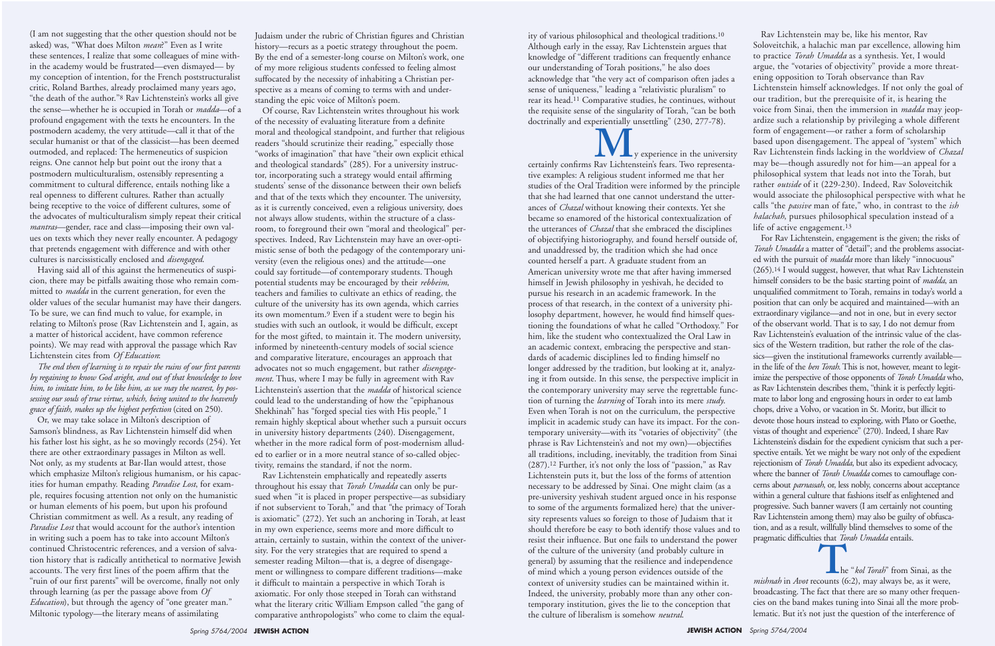(I am not suggesting that the other question should not be asked) was, "What does Milton *mean*?" Even as I write these sentences, I realize that some colleagues of mine within the academy would be frustrated—even dismayed— by my conception of intention, for the French poststructuralist critic, Roland Barthes, already proclaimed many years ago, "the death of the author."8 Rav Lichtenstein's works all give the sense—whether he is occupied in Torah or *madda*—of a profound engagement with the texts he encounters. In the postmodern academy, the very attitude—call it that of the secular humanist or that of the classicist—has been deemed outmoded, and replaced: The hermeneutics of suspicion reigns. One cannot help but point out the irony that a postmodern multiculturalism, ostensibly representing a commitment to cultural difference, entails nothing like a real openness to different cultures. Rather than actually being receptive to the voice of different cultures, some of the advocates of multiculturalism simply repeat their critical *mantras*—gender, race and class—imposing their own values on texts which they never really encounter. A pedagogy that pretends engagement with difference and with other cultures is narcissistically enclosed and *disengaged*.

Having said all of this against the hermeneutics of suspicion, there may be pitfalls awaiting those who remain committed to *madda* in the current generation, for even the older values of the secular humanist may have their dangers. To be sure, we can find much to value, for example, in relating to Milton's prose (Rav Lichtenstein and I, again, as a matter of historical accident, have common reference points). We may read with approval the passage which Rav Lichtenstein cites from *Of Education*:

*The end then of learning is to repair the ruins of our first parents by regaining to know God aright, and out of that knowledge to love him, to imitate him, to be like him, as we may the nearest, by possessing our souls of true virtue, which, being united to the heavenly grace of faith, makes up the highest perfection* (cited on 250).

Or, we may take solace in Milton's description of Samson's blindness, as Rav Lichtenstein himself did when his father lost his sight, as he so movingly records (254). Yet there are other extraordinary passages in Milton as well. Not only, as my students at Bar-Ilan would attest, those which emphasize Milton's religious humanism, or his capacities for human empathy. Reading *Paradise Lost*, for example, requires focusing attention not only on the humanistic or human elements of his poem, but upon his profound Christian commitment as well. As a result, any reading of *Paradise Lost* that would account for the author's intention in writing such a poem has to take into account Milton's continued Christocentric references, and a version of salvation history that is radically antithetical to normative Jewish accounts. The very first lines of the poem affirm that the "ruin of our first parents" will be overcome, finally not only through learning (as per the passage above from *Of Education*), but through the agency of "one greater man." Miltonic typology—the literary means of assimilating

Judaism under the rubric of Christian figures and Christian history—recurs as a poetic strategy throughout the poem. By the end of a semester-long course on Milton's work, one of my more religious students confessed to feeling almost suffocated by the necessity of inhabiting a Christian perspective as a means of coming to terms with and understanding the epic voice of Milton's poem.

Of course, Rav Lichtenstein writes throughout his work of the necessity of evaluating literature from a definite moral and theological standpoint, and further that religious readers "should scrutinize their reading," especially those "works of imagination" that have "their own explicit ethical and theological standards" (285). For a university instructor, incorporating such a strategy would entail affirming students' sense of the dissonance between their own beliefs and that of the texts which they encounter. The university, as it is currently conceived, even a religious university, does not always allow students, within the structure of a classroom, to foreground their own "moral and theological" perspectives. Indeed, Rav Lichtenstein may have an over-optimistic sense of both the pedagogy of the contemporary university (even the religious ones) and the attitude—one could say fortitude—of contemporary students. Though potential students may be encouraged by their *rebbeim*, teachers and families to cultivate an ethics of reading, the culture of the university has its own agenda, which carries its own momentum.9 Even if a student were to begin his studies with such an outlook, it would be difficult, except for the most gifted, to maintain it. The modern university, informed by nineteenth-century models of social science and comparative literature, encourages an approach that advocates not so much engagement, but rather *disengagement*. Thus, where I may be fully in agreement with Rav Lichtenstein's assertion that the *madda* of historical science could lead to the understanding of how the "epiphanous Shekhinah" has "forged special ties with His people," I remain highly skeptical about whether such a pursuit occurs in university history departments (240). Disengagement, whether in the more radical form of post-modernism alluded to earlier or in a more neutral stance of so-called objectivity, remains the standard, if not the norm.

**M**<sub>y</sub> experience in the university<br>certainly confirms Rav Lichtenstein's fears. Two representative examples: A religious student informed me that her studies of the Oral Tradition were informed by the principle that she had learned that one cannot understand the utterances of *Chazal* without knowing their contexts. Yet she became so enamored of the historical contextualization of the utterances of *Chazal* that she embraced the disciplines of objectifying historiography, and found herself outside of, and unaddressed by, the tradition which she had once counted herself a part. A graduate student from an American university wrote me that after having immersed himself in Jewish philosophy in yeshivah, he decided to pursue his research in an academic framework. In the process of that research, in the context of a university philosophy department, however, he would find himself questioning the foundations of what he called "Orthodoxy." For him, like the student who contextualized the Oral Law in an academic context, embracing the perspective and standards of academic disciplines led to finding himself no longer addressed by the tradition, but looking at it, analyzing it from outside. In this sense, the perspective implicit in the contemporary university may serve the regrettable function of turning the *learning* of Torah into its mere *study*. Even when Torah is not on the curriculum, the perspective implicit in academic study can have its impact. For the contemporary university—with its "votaries of objectivity" (the phrase is Rav Lichtenstein's and not my own)—objectifies all traditions, including, inevitably, the tradition from Sinai (287).12 Further, it's not only the loss of "passion," as Rav Lichtenstein puts it, but the loss of the forms of attention necessary to be addressed by Sinai. One might claim (as a pre-university yeshivah student argued once in his response to some of the arguments formalized here) that the university represents values so foreign to those of Judaism that it should therefore be easy to both identify those values and to resist their influence. But one fails to understand the power of the culture of the university (and probably culture in general) by assuming that the resilience and independence of mind which a young person evidences outside of the context of university studies can be maintained within it. Indeed, the university, probably more than any other contemporary institution, gives the lie to the conception that the culture of liberalism is somehow *neutral*.

Rav Lichtenstein emphatically and repeatedly asserts throughout his essay that *Torah Umadda* can only be pursued when "it is placed in proper perspective—as subsidiary if not subservient to Torah," and that "the primacy of Torah is axiomatic" (272). Yet such an anchoring in Torah, at least in my own experience, seems more and more difficult to attain, certainly to sustain, within the context of the university. For the very strategies that are required to spend a semester reading Milton—that is, a degree of disengagement or willingness to compare different traditions—make it difficult to maintain a perspective in which Torah is axiomatic. For only those steeped in Torah can withstand what the literary critic William Empson called "the gang of comparative anthropologists" who come to claim the equal-

**The "***kol Torah*" from Sinai, as the *mishnah* in *Avot* recounts (6:2), may always be, as it were, broadcasting. The fact that there are so many other frequencies on the band makes tuning into Sinai all the more problematic. But it's not just the question of the interference of

ity of various philosophical and theological traditions.10 Although early in the essay, Rav Lichtenstein argues that knowledge of "different traditions can frequently enhance our understanding of Torah positions," he also does acknowledge that "the very act of comparison often jades a sense of uniqueness," leading a "relativistic pluralism" to rear its head.11 Comparative studies, he continues, without the requisite sense of the singularity of Torah, "can be both doctrinally and experientially unsettling" (230, 277-78).

Rav Lichtenstein may be, like his mentor, Rav Soloveitchik, a halachic man par excellence, allowing him to practice *Torah Umadda* as a synthesis. Yet, I would argue, the "votaries of objectivity" provide a more threatening opposition to Torah observance than Rav Lichtenstein himself acknowledges. If not only the goal of our tradition, but the prerequisite of it, is hearing the voice from Sinai, then the immersion in *madda* may jeopardize such a relationship by privileging a whole different form of engagement—or rather a form of scholarship based upon disengagement. The appeal of "system" which Rav Lichtenstein finds lacking in the worldview of *Chazal* may be—though assuredly not for him—an appeal for a philosophical system that leads not into the Torah, but rather *outside* of it (229-230). Indeed, Rav Soloveitchik would associate the philosophical perspective with what he calls "the *passive* man of fate," who, in contrast to the *ish halachah*, pursues philosophical speculation instead of a life of active engagement.13

For Rav Lichtenstein, engagement is the given; the risks of *Torah Umadda* a matter of "detail"; and the problems associated with the pursuit of *madda* more than likely "innocuous" (265).14 I would suggest, however, that what Rav Lichtenstein himself considers to be the basic starting point of *madda*, an unqualified commitment to Torah, remains in today's world a position that can only be acquired and maintained—with an extraordinary vigilance—and not in one, but in every sector of the observant world. That is to say, I do not demur from Rav Lichtenstein's evaluation of the intrinsic value of the classics of the Western tradition, but rather the role of the classics—given the institutional frameworks currently available in the life of the *ben Torah*. This is not, however, meant to legitimize the perspective of those opponents of *Torah Umadda* who, as Rav Lichtenstein describes them, "think it is perfectly legitimate to labor long and engrossing hours in order to eat lamb chops, drive a Volvo, or vacation in St. Moritz, but illicit to devote those hours instead to exploring, with Plato or Goethe, vistas of thought and experience" (270). Indeed, I share Rav Lichtenstein's disdain for the expedient cynicism that such a perspective entails. Yet we might be wary not only of the expedient rejectionism of *Torah Umadda*, but also its expedient advocacy, where the banner of *Torah Umadda* comes to camouflage concerns about *parnassah*, or, less nobly, concerns about acceptance within a general culture that fashions itself as enlightened and progressive. Such banner wavers (I am certainly not counting Rav Lichtenstein among them) may also be guilty of obfuscation, and as a result, willfully blind themselves to some of the pragmatic difficulties that *Torah Umadda* entails.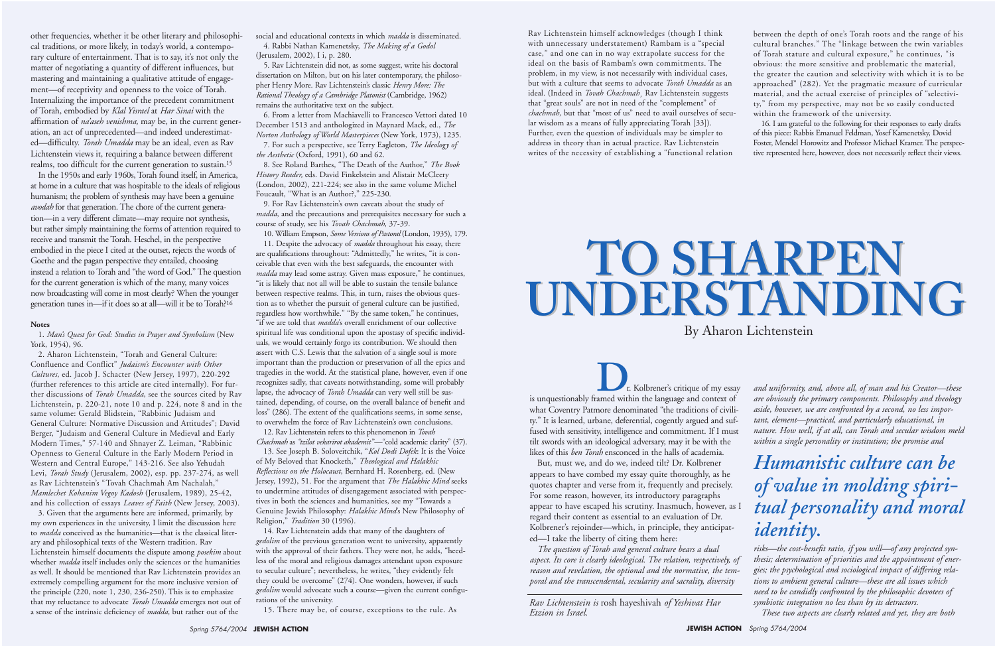other frequencies, whether it be other literary and philosophical traditions, or more likely, in today's world, a contemporary culture of entertainment. That is to say, it's not only the matter of negotiating a quantity of different influences, but mastering and maintaining a qualitative attitude of engagement—of receptivity and openness to the voice of Torah. Internalizing the importance of the precedent commitment of Torah, embodied by *Klal Yisrael* at *Har Sinai* with the affirmation of *na'aseh venishma,* may be, in the current generation, an act of unprecedented—and indeed underestimated—difficulty. *Torah Umadda* may be an ideal, even as Rav Lichtenstein views it, requiring a balance between different realms, too difficult for the current generation to sustain.15

In the 1950s and early 1960s, Torah found itself, in America, at home in a culture that was hospitable to the ideals of religious humanism; the problem of synthesis may have been a genuine *avodah* for that generation. The chore of the current generation—in a very different climate—may require not synthesis, but rather simply maintaining the forms of attention required to receive and transmit the Torah. Heschel, in the perspective embodied in the piece I cited at the outset, rejects the words of Goethe and the pagan perspective they entailed, choosing instead a relation to Torah and "the word of God." The question for the current generation is which of the many, many voices now broadcasting will come in most clearly? When the younger generation tunes in—if it does so at all—will it be to Torah?16

#### **Notes**

1. *Man's Quest for God: Studies in Prayer and Symbolism* (New York, 1954), 96.

2. Aharon Lichtenstein, "Torah and General Culture: Confluence and Conflict" *Judaism's Encounter with Other Cultures*, ed. Jacob J. Schacter (New Jersey, 1997), 220-292 (further references to this article are cited internally). For further discussions of *Torah Umadda*, see the sources cited by Rav Lichtenstein, p. 220-21, note 10 and p. 224, note 8 and in the same volume: Gerald Blidstein, "Rabbinic Judaism and General Culture: Normative Discussion and Attitudes"; David Berger, "Judaism and General Culture in Medieval and Early Modern Times," 57-140 and Shnayer Z. Leiman, "Rabbinic Openness to General Culture in the Early Modern Period in Western and Central Europe," 143-216. See also Yehudah Levi, *Torah Study* (Jerusalem, 2002), esp. pp. 237-274, as well as Rav Lichtenstein's "Tovah Chachmah Am Nachalah," *Mamlechet Kohanim Vegoy Kadosh* (Jerusalem, 1989), 25-42, and his collection of essays *Leaves of Faith* (New Jersey, 2003).

3. Given that the arguments here are informed, primarily, by my own experiences in the university, I limit the discussion here to *madda* conceived as the humanities—that is the classical literary and philosophical texts of the Western tradition. Rav Lichtenstein himself documents the dispute among *posekim* about whether *madda* itself includes only the sciences or the humanities as well. It should be mentioned that Rav Lichtenstein provides an extremely compelling argument for the more inclusive version of the principle (220, note 1, 230, 236-250). This is to emphasize that my reluctance to advocate *Torah Umadda* emerges not out of a sense of the intrinsic deficiency of *madda*, but rather out of the

social and educational contexts in which *madda* is disseminated.

4. Rabbi Nathan Kamenetsky, *The Making of a Godol* (Jerusalem, 2002), I i, p. 280.

5. Rav Lichtenstein did not, as some suggest, write his doctoral dissertation on Milton, but on his later contemporary, the philosopher Henry More. Rav Lichtenstein's classic *Henry More: The Rational Theology of a Cambridge Platonist* (Cambridge, 1962) remains the authoritative text on the subject.

6. From a letter from Machiavelli to Francesco Vettori dated 10 December 1513 and anthologized in Maynard Mack, ed., *The Norton Anthology of World Masterpieces* (New York, 1973), 1235.

7. For such a perspective, see Terry Eagleton, *The Ideology of the Aesthetic* (Oxford, 1991), 60 and 62.

8. See Roland Barthes, "The Death of the Author," *The Book History Reader,* eds. David Finkelstein and Alistair McCleery (London, 2002), 221-224; see also in the same volume Michel Foucault, "What is an Author?," 225-230.

9. For Rav Lichtenstein's own caveats about the study of *madda*, and the precautions and prerequisites necessary for such a course of study, see his *Tovah Chachmah*, 37-39.

> **D**<br>**E**r. Kolbrener's critique of my essay<br>is unquestionably framed within the language and context of what Coventry Patmore denominated "the traditions of civility." It is learned, urbane, deferential, cogently argued and suffused with sensitivity, intelligence and commitment. If I must tilt swords with an ideological adversary, may it be with the likes of this *ben Torah* ensconced in the halls of academia.

10. William Empson, *Some Versions of Pastoral* (London, 1935), 179. 11. Despite the advocacy of *madda* throughout his essay, there are qualifications throughout: "Admittedly," he writes, "it is conceivable that even with the best safeguards, the encounter with *madda* may lead some astray. Given mass exposure," he continues, "it is likely that not all will be able to sustain the tensile balance between respective realms. This, in turn, raises the obvious question as to whether the pursuit of general culture can be justified, regardless how worthwhile." "By the same token," he continues, "if we are told that *madda*'s overall enrichment of our collective spiritual life was conditional upon the apostasy of specific individuals, we would certainly forgo its contribution. We should then assert with C.S. Lewis that the salvation of a single soul is more important than the production or preservation of all the epics and tragedies in the world. At the statistical plane, however, even if one recognizes sadly, that caveats notwithstanding, some will probably lapse, the advocacy of *Torah Umadda* can very well still be sustained, depending, of course, on the overall balance of benefit and loss" (286). The extent of the qualifications seems, in some sense, to overwhelm the force of Rav Lichtenstein's own conclusions.

12. Rav Lichtenstein refers to this phenomenon in *Tovah Chachmah* as *"tzilot vekarirot akademit"*—"cold academic clarity" (37).

13. See Joseph B. Soloveitchik, "*Kol Dodi Dofek*: It is the Voice of My Beloved that Knocketh," *Theological and Halakhic Reflections on the Holocaust*, Bernhard H. Rosenberg, ed. (New Jersey, 1992), 51. For the argument that *The Halakhic Mind* seeks to undermine attitudes of disengagement associated with perspectives in both the sciences and humanities, see my "Towards a Genuine Jewish Philosophy: *Halakhic Mind*'s New Philosophy of Religion," *Tradition* 30 (1996).

14. Rav Lichtenstein adds that many of the daughters of *gedolim* of the previous generation went to university, apparently with the approval of their fathers. They were not, he adds, "heedless of the moral and religious damages attendant upon exposure to secular culture"; nevertheless, he writes, "they evidently felt they could be overcome" (274). One wonders, however, if such *gedolim* would advocate such a course—given the current configurations of the university.

15. There may be, of course, exceptions to the rule. As

Rav Lichtenstein himself acknowledges (though I think with unnecessary understatement) Rambam is a "special case," and one can in no way extrapolate success for the ideal on the basis of Rambam's own commitments. The problem, in my view, is not necessarily with individual cases, but with a culture that seems to advocate *Torah Umadda* as an ideal. (Indeed in *Tovah Chachmah¸* Rav Lichtenstein suggests that "great souls" are not in need of the "complement" of *chachmah*, but that "most of us" need to avail ourselves of secular wisdom as a means of fully appreciating Torah [33]). Further, even the question of individuals may be simpler to address in theory than in actual practice. Rav Lichtenstein writes of the necessity of establishing a "functional relation

between the depth of one's Torah roots and the range of his cultural branches." The "linkage between the twin variables of Torah stature and cultural exposure," he continues, "is obvious: the more sensitive and problematic the material, the greater the caution and selectivity with which it is to be approached" (282). Yet the pragmatic measure of curricular material, and the actual exercise of principles of "selectivity," from my perspective, may not be so easily conducted within the framework of the university.

16. I am grateful to the following for their responses to early drafts of this piece: Rabbis Emanuel Feldman, Yosef Kamenetsky, Dovid Foster, Mendel Horowitz and Professor Michael Kramer. The perspective represented here, however, does not necessarily reflect their views.

## **TO SHARPEN TO SHARPEN UNDERSTANDING UNDERSTANDING** By Aharon Lichtenstein

But, must we, and do we, indeed tilt? Dr. Kolbrener appears to have combed my essay quite thoroughly, as he quotes chapter and verse from it, frequently and precisely. For some reason, however, its introductory paragraphs appear to have escaped his scrutiny. Inasmuch, however, as I regard their content as essential to an evaluation of Dr. Kolbrener's rejoinder—which, in principle, they anticipated—I take the liberty of citing them here:

*The question of Torah and general culture bears a dual aspect. Its core is clearly ideological. The relation, respectively, of reason and revelation, the optional and the normative, the temporal and the transcendental, secularity and sacrality, diversity*

*Rav Lichtenstein is* rosh hayeshivah *of Yeshivat Har Etzion in Israel.* 

*and uniformity, and, above all, of man and his Creator—these are obviously the primary components. Philosophy and theology aside, however, we are confronted by a second, no less important, element—practical, and particularly educational, in nature. How well, if at all, can Torah and secular wisdom meld within a single personality or institution; the promise and*

*risks—the cost-benefit ratio, if you will—of any projected synthesis; determination of priorities and the appointment of energies; the psychological and sociological impact of differing relations to ambient general culture—these are all issues which need to be candidly confronted by the philosophic devotees of symbiotic integration no less than by its detractors.*

*These two aspects are clearly related and yet, they are both*

*Humanistic culture can be of value in molding spiritual personality and moral identity.*